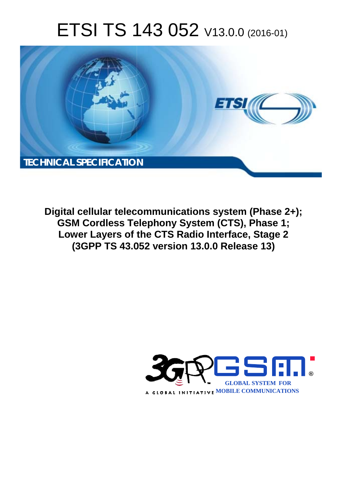# ETSI TS 143 052 V13.0.0 (2016-01)



**Digital cellular telecommunications system (Phase 2+); GSM Cordless Te Telephony System (CTS), Phas hase 1; Lower Layers of the CTS Radio Interface, Stage 2 (3GPP TS 43.0 .052 version 13.0.0 Release 13 13)** 

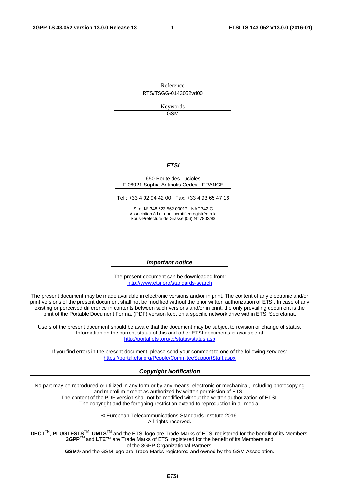Reference RTS/TSGG-0143052vd00

> Keywords **GSM**

#### *ETSI*

#### 650 Route des Lucioles F-06921 Sophia Antipolis Cedex - FRANCE

Tel.: +33 4 92 94 42 00 Fax: +33 4 93 65 47 16

Siret N° 348 623 562 00017 - NAF 742 C Association à but non lucratif enregistrée à la Sous-Préfecture de Grasse (06) N° 7803/88

#### *Important notice*

The present document can be downloaded from: <http://www.etsi.org/standards-search>

The present document may be made available in electronic versions and/or in print. The content of any electronic and/or print versions of the present document shall not be modified without the prior written authorization of ETSI. In case of any existing or perceived difference in contents between such versions and/or in print, the only prevailing document is the print of the Portable Document Format (PDF) version kept on a specific network drive within ETSI Secretariat.

Users of the present document should be aware that the document may be subject to revision or change of status. Information on the current status of this and other ETSI documents is available at <http://portal.etsi.org/tb/status/status.asp>

If you find errors in the present document, please send your comment to one of the following services: <https://portal.etsi.org/People/CommiteeSupportStaff.aspx>

#### *Copyright Notification*

No part may be reproduced or utilized in any form or by any means, electronic or mechanical, including photocopying and microfilm except as authorized by written permission of ETSI.

The content of the PDF version shall not be modified without the written authorization of ETSI. The copyright and the foregoing restriction extend to reproduction in all media.

> © European Telecommunications Standards Institute 2016. All rights reserved.

**DECT**TM, **PLUGTESTS**TM, **UMTS**TM and the ETSI logo are Trade Marks of ETSI registered for the benefit of its Members. **3GPP**TM and **LTE**™ are Trade Marks of ETSI registered for the benefit of its Members and of the 3GPP Organizational Partners.

**GSM**® and the GSM logo are Trade Marks registered and owned by the GSM Association.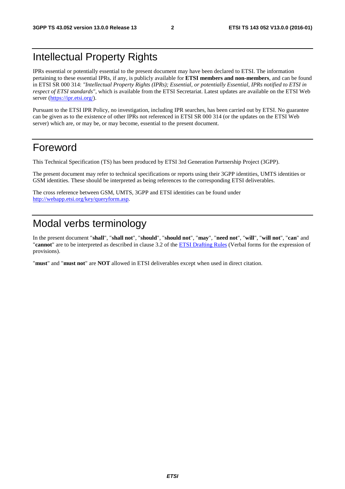### Intellectual Property Rights

IPRs essential or potentially essential to the present document may have been declared to ETSI. The information pertaining to these essential IPRs, if any, is publicly available for **ETSI members and non-members**, and can be found in ETSI SR 000 314: *"Intellectual Property Rights (IPRs); Essential, or potentially Essential, IPRs notified to ETSI in respect of ETSI standards"*, which is available from the ETSI Secretariat. Latest updates are available on the ETSI Web server [\(https://ipr.etsi.org/](https://ipr.etsi.org/)).

Pursuant to the ETSI IPR Policy, no investigation, including IPR searches, has been carried out by ETSI. No guarantee can be given as to the existence of other IPRs not referenced in ETSI SR 000 314 (or the updates on the ETSI Web server) which are, or may be, or may become, essential to the present document.

### Foreword

This Technical Specification (TS) has been produced by ETSI 3rd Generation Partnership Project (3GPP).

The present document may refer to technical specifications or reports using their 3GPP identities, UMTS identities or GSM identities. These should be interpreted as being references to the corresponding ETSI deliverables.

The cross reference between GSM, UMTS, 3GPP and ETSI identities can be found under [http://webapp.etsi.org/key/queryform.asp.](http://webapp.etsi.org/key/queryform.asp)

## Modal verbs terminology

In the present document "**shall**", "**shall not**", "**should**", "**should not**", "**may**", "**need not**", "**will**", "**will not**", "**can**" and "**cannot**" are to be interpreted as described in clause 3.2 of the [ETSI Drafting Rules](http://portal.etsi.org/Help/editHelp!/Howtostart/ETSIDraftingRules.aspx) (Verbal forms for the expression of provisions).

"**must**" and "**must not**" are **NOT** allowed in ETSI deliverables except when used in direct citation.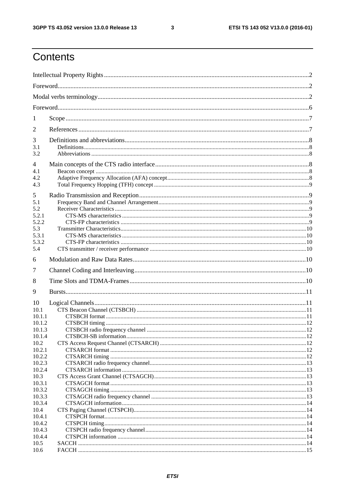$\mathbf{3}$ 

## Contents

| 1                                                                                                  |  |  |  |  |
|----------------------------------------------------------------------------------------------------|--|--|--|--|
| 2                                                                                                  |  |  |  |  |
| 3<br>3.1<br>3.2                                                                                    |  |  |  |  |
| $\overline{4}$<br>4.1<br>4.2<br>4.3                                                                |  |  |  |  |
| 5<br>5.1<br>5.2<br>5.2.1<br>5.2.2<br>5.3<br>5.3.1<br>5.3.2<br>5.4                                  |  |  |  |  |
| 6                                                                                                  |  |  |  |  |
| 7                                                                                                  |  |  |  |  |
| 8                                                                                                  |  |  |  |  |
| 9                                                                                                  |  |  |  |  |
| 10<br>10.1<br>10.1.1<br>10.1.2<br>10.1.3<br>10.1.4<br>10.2<br>10.2.1<br>10.2.2<br>10.2.3<br>10.2.4 |  |  |  |  |
| 10.3                                                                                               |  |  |  |  |
| 10.3.1<br>10.3.2<br>10.3.3<br>10.3.4<br>10.4<br>10.4.1<br>10.4.2<br>10.4.3<br>10.4.4               |  |  |  |  |
| 10.5<br>10.6                                                                                       |  |  |  |  |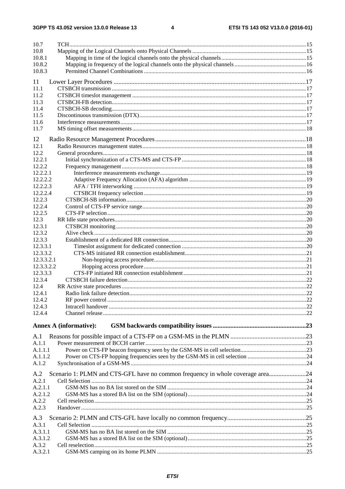| 10.7                 |                                                                                |  |
|----------------------|--------------------------------------------------------------------------------|--|
| 10.8                 |                                                                                |  |
| 10.8.1               |                                                                                |  |
| 10.8.2               |                                                                                |  |
| 10.8.3               |                                                                                |  |
| 11                   |                                                                                |  |
| 11.1                 |                                                                                |  |
| 11.2                 |                                                                                |  |
| 11.3<br>11.4         |                                                                                |  |
| 11.5                 |                                                                                |  |
| 11.6                 |                                                                                |  |
| 11.7                 |                                                                                |  |
| 12                   |                                                                                |  |
| 12.1                 |                                                                                |  |
| 12.2                 |                                                                                |  |
| 12.2.1               |                                                                                |  |
| 12.2.2               |                                                                                |  |
| 12.2.2.1             |                                                                                |  |
| 12.2.2.2             |                                                                                |  |
| 12.2.2.3<br>12.2.2.4 |                                                                                |  |
| 12.2.3               |                                                                                |  |
| 12.2.4               |                                                                                |  |
| 12.2.5               |                                                                                |  |
| 12.3                 |                                                                                |  |
| 12.3.1               |                                                                                |  |
| 12.3.2               |                                                                                |  |
| 12.3.3<br>12.3.3.1   |                                                                                |  |
| 12.3.3.2             |                                                                                |  |
| 12.3.3.2.1           |                                                                                |  |
| 12.3.3.2.2           |                                                                                |  |
| 12.3.3.3             |                                                                                |  |
| 12.3.4               |                                                                                |  |
| 12.4                 |                                                                                |  |
| 12.4.1<br>12.4.2     |                                                                                |  |
| 12.4.3               |                                                                                |  |
| 12.4.4               |                                                                                |  |
|                      |                                                                                |  |
|                      | <b>Annex A (informative):</b>                                                  |  |
| A.1                  |                                                                                |  |
| A.1.1                |                                                                                |  |
| A.1.1.1              |                                                                                |  |
| A.1.1.2              |                                                                                |  |
| A.1.2                |                                                                                |  |
| A.2                  | Scenario 1: PLMN and CTS-GFL have no common frequency in whole coverage area24 |  |
| A.2.1                |                                                                                |  |
| A.2.1.1              |                                                                                |  |
| A.2.1.2              |                                                                                |  |
| A.2.2<br>A.2.3       |                                                                                |  |
|                      |                                                                                |  |
| A.3                  |                                                                                |  |
| A.3.1                |                                                                                |  |
| A.3.1.1<br>A.3.1.2   |                                                                                |  |
| A.3.2                |                                                                                |  |
| A.3.2.1              |                                                                                |  |
|                      |                                                                                |  |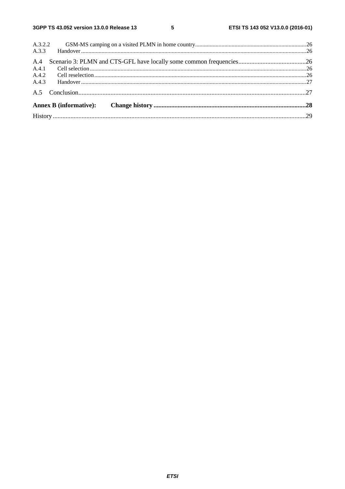$5\phantom{a}$ 

| A.3.2.2 |  |  |
|---------|--|--|
| A.3.3   |  |  |
| A.4     |  |  |
| A.4.1   |  |  |
| A.4.2   |  |  |
| A.4.3   |  |  |
|         |  |  |
|         |  |  |
|         |  |  |
|         |  |  |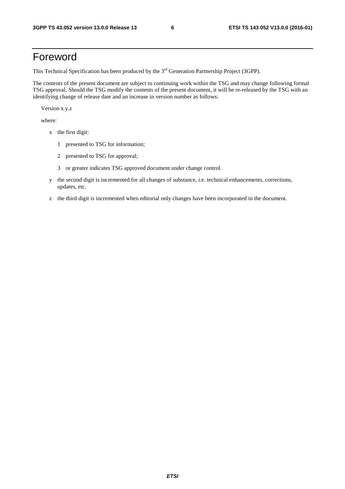### Foreword

This Technical Specification has been produced by the 3<sup>rd</sup> Generation Partnership Project (3GPP).

The contents of the present document are subject to continuing work within the TSG and may change following formal TSG approval. Should the TSG modify the contents of the present document, it will be re-released by the TSG with an identifying change of release date and an increase in version number as follows:

Version x.y.z

where:

- x the first digit:
	- 1 presented to TSG for information;
	- 2 presented to TSG for approval;
	- 3 or greater indicates TSG approved document under change control.
- y the second digit is incremented for all changes of substance, i.e. technical enhancements, corrections, updates, etc.
- z the third digit is incremented when editorial only changes have been incorporated in the document.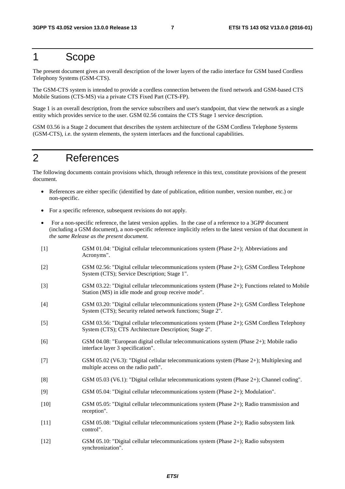### 1 Scope

The present document gives an overall description of the lower layers of the radio interface for GSM based Cordless Telephony Systems (GSM-CTS).

The GSM-CTS system is intended to provide a cordless connection between the fixed network and GSM-based CTS Mobile Stations (CTS-MS) via a private CTS Fixed Part (CTS-FP).

Stage 1 is an overall description, from the service subscribers and user's standpoint, that view the network as a single entity which provides service to the user. GSM 02.56 contains the CTS Stage 1 service description.

GSM 03.56 is a Stage 2 document that describes the system architecture of the GSM Cordless Telephone Systems (GSM-CTS), i.e. the system elements, the system interfaces and the functional capabilities.

## 2 References

The following documents contain provisions which, through reference in this text, constitute provisions of the present document.

- References are either specific (identified by date of publication, edition number, version number, etc.) or non-specific.
- For a specific reference, subsequent revisions do not apply.
- For a non-specific reference, the latest version applies. In the case of a reference to a 3GPP document (including a GSM document), a non-specific reference implicitly refers to the latest version of that document *in the same Release as the present document*.
- [1] GSM 01.04: "Digital cellular telecommunications system (Phase 2+); Abbreviations and Acronyms". [2] GSM 02.56: "Digital cellular telecommunications system (Phase 2+); GSM Cordless Telephone System (CTS); Service Description; Stage 1". [3] GSM 03.22: "Digital cellular telecommunications system (Phase 2+); Functions related to Mobile Station (MS) in idle mode and group receive mode". [4] GSM 03.20: "Digital cellular telecommunications system (Phase 2+); GSM Cordless Telephone System (CTS); Security related network functions; Stage 2". [5] GSM 03.56: "Digital cellular telecommunications system (Phase 2+); GSM Cordless Telephony System (CTS); CTS Architecture Description; Stage 2". [6] GSM 04.08: "European digital cellular telecommunications system (Phase 2+); Mobile radio interface layer 3 specification". [7] GSM 05.02 (V6.3): "Digital cellular telecommunications system (Phase 2+); Multiplexing and multiple access on the radio path". [8] GSM 05.03 (V6.1): "Digital cellular telecommunications system (Phase 2+); Channel coding". [9] GSM 05.04: "Digital cellular telecommunications system (Phase 2+); Modulation". [10] GSM 05.05: "Digital cellular telecommunications system (Phase 2+); Radio transmission and reception". [11] GSM 05.08: "Digital cellular telecommunications system (Phase 2+); Radio subsystem link control". [12] GSM 05.10: "Digital cellular telecommunications system (Phase 2+); Radio subsystem synchronization".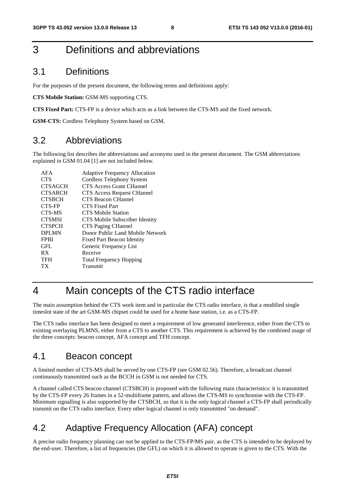### 3 Definitions and abbreviations

#### 3.1 Definitions

For the purposes of the present document, the following terms and definitions apply:

**CTS Mobile Station:** GSM-MS supporting CTS.

**CTS Fixed Part:** CTS-FP is a device which acts as a link between the CTS-MS and the fixed network.

**GSM-CTS:** Cordless Telephony System based on GSM.

#### 3.2 Abbreviations

The following list describes the abbreviations and acronyms used in the present document. The GSM abbreviations explained in GSM 01.04 [1] are not included below.

| AFA            | <b>Adaptive Frequency Allocation</b> |
|----------------|--------------------------------------|
| <b>CTS</b>     | Cordless Telephony System            |
| <b>CTSAGCH</b> | <b>CTS Access Grant CHannel</b>      |
| <b>CTSARCH</b> | <b>CTS</b> Access Request CHannel    |
| <b>CTSBCH</b>  | CTS Beacon CHannel                   |
| CTS-FP         | CTS Fixed Part                       |
| CTS-MS         | <b>CTS Mobile Station</b>            |
| <b>CTSMSI</b>  | CTS Mobile Subscriber Identity       |
| <b>CTSPCH</b>  | CTS Paging CHannel                   |
| <b>DPLMN</b>   | Donor Public Land Mobile Network     |
| <b>FPBI</b>    | <b>Fixed Part Beacon Identity</b>    |
| GFL            | Generic Frequency List               |
| RX             | Receive                              |
| <b>TFH</b>     | <b>Total Frequency Hopping</b>       |
| ТX             | Transmit                             |
|                |                                      |

### 4 Main concepts of the CTS radio interface

The main assumption behind the CTS work item and in particular the CTS radio interface, is that a modified single timeslot state of the art GSM-MS chipset could be used for a home base station, i.e. as a CTS-FP.

The CTS radio interface has been designed to meet a requirement of low generated interference, either from the CTS to existing overlaying PLMNS, either from a CTS to another CTS. This requirement is achieved by the combined usage of the three concepts: beacon concept, AFA concept and TFH concept.

#### 4.1 Beacon concept

A limited number of CTS-MS shall be served by one CTS-FP (see GSM 02.56). Therefore, a broadcast channel continuously transmitted such as the BCCH in GSM is not needed for CTS.

A channel called CTS beacon channel (CTSBCH) is proposed with the following main characteristics: it is transmitted by the CTS-FP every 26 frames in a 52-multiframe pattern, and allows the CTS-MS to synchronise with the CTS-FP. Minimum signalling is also supported by the CTSBCH, so that it is the only logical channel a CTS-FP shall periodically transmit on the CTS radio interface. Every other logical channel is only transmitted "on demand".

### 4.2 Adaptive Frequency Allocation (AFA) concept

A precise radio frequency planning can not be applied to the CTS-FP/MS pair, as the CTS is intended to be deployed by the end-user. Therefore, a list of frequencies (the GFL) on which it is allowed to operate is given to the CTS. With the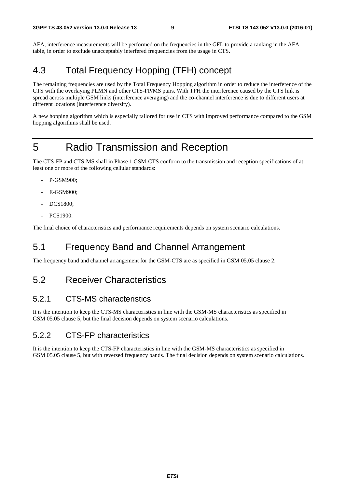AFA, interference measurements will be performed on the frequencies in the GFL to provide a ranking in the AFA table, in order to exclude unacceptably interfered frequencies from the usage in CTS.

### 4.3 Total Frequency Hopping (TFH) concept

The remaining frequencies are used by the Total Frequency Hopping algorithm in order to reduce the interference of the CTS with the overlaying PLMN and other CTS-FP/MS pairs. With TFH the interference caused by the CTS link is spread across multiple GSM links (interference averaging) and the co-channel interference is due to different users at different locations (interference diversity).

A new hopping algorithm which is especially tailored for use in CTS with improved performance compared to the GSM hopping algorithms shall be used.

## 5 Radio Transmission and Reception

The CTS-FP and CTS-MS shall in Phase 1 GSM-CTS conform to the transmission and reception specifications of at least one or more of the following cellular standards:

- P-GSM900;
- E-GSM900:
- DCS1800;
- PCS1900.

The final choice of characteristics and performance requirements depends on system scenario calculations.

### 5.1 Frequency Band and Channel Arrangement

The frequency band and channel arrangement for the GSM-CTS are as specified in GSM 05.05 clause 2.

#### 5.2 Receiver Characteristics

#### 5.2.1 CTS-MS characteristics

It is the intention to keep the CTS-MS characteristics in line with the GSM-MS characteristics as specified in GSM 05.05 clause 5, but the final decision depends on system scenario calculations.

#### 5.2.2 CTS-FP characteristics

It is the intention to keep the CTS-FP characteristics in line with the GSM-MS characteristics as specified in GSM 05.05 clause 5, but with reversed frequency bands. The final decision depends on system scenario calculations.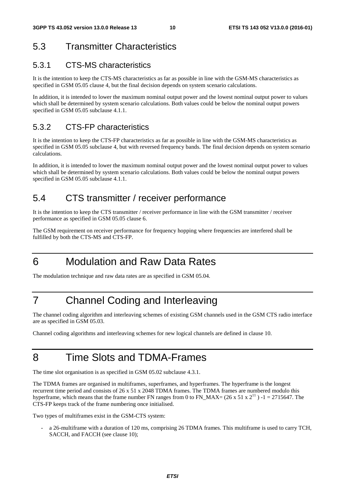### 5.3 Transmitter Characteristics

#### 5.3.1 CTS-MS characteristics

It is the intention to keep the CTS-MS characteristics as far as possible in line with the GSM-MS characteristics as specified in GSM 05.05 clause 4, but the final decision depends on system scenario calculations.

In addition, it is intended to lower the maximum nominal output power and the lowest nominal output power to values which shall be determined by system scenario calculations. Both values could be below the nominal output powers specified in GSM 05.05 subclause 4.1.1.

#### 5.3.2 CTS-FP characteristics

It is the intention to keep the CTS-FP characteristics as far as possible in line with the GSM-MS characteristics as specified in GSM 05.05 subclause 4, but with reversed frequency bands. The final decision depends on system scenario calculations.

In addition, it is intended to lower the maximum nominal output power and the lowest nominal output power to values which shall be determined by system scenario calculations. Both values could be below the nominal output powers specified in GSM 05.05 subclause 4.1.1.

### 5.4 CTS transmitter / receiver performance

It is the intention to keep the CTS transmitter / receiver performance in line with the GSM transmitter / receiver performance as specified in GSM 05.05 clause 6.

The GSM requirement on receiver performance for frequency hopping where frequencies are interfered shall be fulfilled by both the CTS-MS and CTS-FP.

## 6 Modulation and Raw Data Rates

The modulation technique and raw data rates are as specified in GSM 05.04.

## 7 Channel Coding and Interleaving

The channel coding algorithm and interleaving schemes of existing GSM channels used in the GSM CTS radio interface are as specified in GSM 05.03.

Channel coding algorithms and interleaving schemes for new logical channels are defined in clause 10.

## 8 Time Slots and TDMA-Frames

The time slot organisation is as specified in GSM 05.02 subclause 4.3.1.

The TDMA frames are organised in multiframes, superframes, and hyperframes. The hyperframe is the longest recurrent time period and consists of 26 x 51 x 2048 TDMA frames. The TDMA frames are numbered modulo this hyperframe, which means that the frame number FN ranges from 0 to FN\_MAX= (26 x 51 x  $2^{11}$ ) -1 = 2715647. The CTS-FP keeps track of the frame numbering once initialised.

Two types of multiframes exist in the GSM-CTS system:

- a 26-multiframe with a duration of 120 ms, comprising 26 TDMA frames. This multiframe is used to carry TCH, SACCH, and FACCH (see clause 10);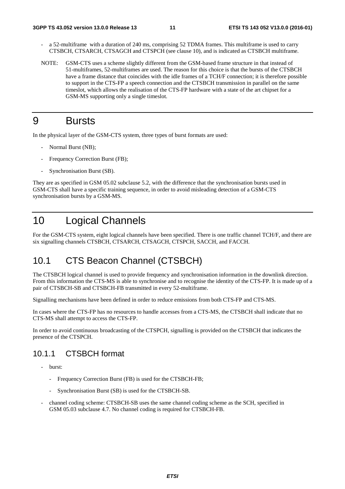- a 52-multiframe with a duration of 240 ms, comprising 52 TDMA frames. This multiframe is used to carry CTSBCH, CTSARCH, CTSAGCH and CTSPCH (see clause 10), and is indicated as CTSBCH multiframe.
- NOTE: GSM-CTS uses a scheme slightly different from the GSM-based frame structure in that instead of 51-multiframes, 52-multiframes are used. The reason for this choice is that the bursts of the CTSBCH have a frame distance that coincides with the idle frames of a TCH/F connection; it is therefore possible to support in the CTS-FP a speech connection and the CTSBCH transmission in parallel on the same timeslot, which allows the realisation of the CTS-FP hardware with a state of the art chipset for a GSM-MS supporting only a single timeslot.

### 9 Bursts

In the physical layer of the GSM-CTS system, three types of burst formats are used:

- Normal Burst (NB);
- Frequency Correction Burst (FB);
- Synchronisation Burst (SB).

They are as specified in GSM 05.02 subclause 5.2, with the difference that the synchronisation bursts used in GSM-CTS shall have a specific training sequence, in order to avoid misleading detection of a GSM-CTS synchronisation bursts by a GSM-MS.

### 10 Logical Channels

For the GSM-CTS system, eight logical channels have been specified. There is one traffic channel TCH/F, and there are six signalling channels CTSBCH, CTSARCH, CTSAGCH, CTSPCH, SACCH, and FACCH.

### 10.1 CTS Beacon Channel (CTSBCH)

The CTSBCH logical channel is used to provide frequency and synchronisation information in the downlink direction. From this information the CTS-MS is able to synchronise and to recognise the identity of the CTS-FP. It is made up of a pair of CTSBCH-SB and CTSBCH-FB transmitted in every 52-multiframe.

Signalling mechanisms have been defined in order to reduce emissions from both CTS-FP and CTS-MS.

In cases where the CTS-FP has no resources to handle accesses from a CTS-MS, the CTSBCH shall indicate that no CTS-MS shall attempt to access the CTS-FP.

In order to avoid continuous broadcasting of the CTSPCH, signalling is provided on the CTSBCH that indicates the presence of the CTSPCH.

#### 10.1.1 CTSBCH format

- burst:
	- Frequency Correction Burst (FB) is used for the CTSBCH-FB;
	- Synchronisation Burst (SB) is used for the CTSBCH-SB.
- channel coding scheme: CTSBCH-SB uses the same channel coding scheme as the SCH, specified in GSM 05.03 subclause 4.7. No channel coding is required for CTSBCH-FB.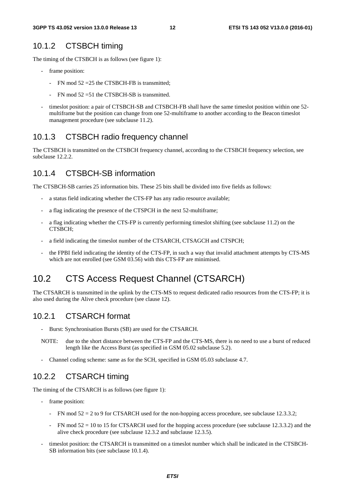#### 10.1.2 CTSBCH timing

The timing of the CTSBCH is as follows (see figure 1):

- frame position:
	- FN mod 52 = 25 the CTSBCH-FB is transmitted;
	- $FN \mod 52 = 51$  the CTSBCH-SB is transmitted.
- timeslot position: a pair of CTSBCH-SB and CTSBCH-FB shall have the same timeslot position within one 52multiframe but the position can change from one 52-multiframe to another according to the Beacon timeslot management procedure (see subclause 11.2).

#### 10.1.3 CTSBCH radio frequency channel

The CTSBCH is transmitted on the CTSBCH frequency channel, according to the CTSBCH frequency selection, see subclause 12.2.2.

#### 10.1.4 CTSBCH-SB information

The CTSBCH-SB carries 25 information bits. These 25 bits shall be divided into five fields as follows:

- a status field indicating whether the CTS-FP has any radio resource available;
- a flag indicating the presence of the CTSPCH in the next 52-multiframe;
- a flag indicating whether the CTS-FP is currently performing timeslot shifting (see subclause 11.2) on the CTSBCH;
- a field indicating the timeslot number of the CTSARCH, CTSAGCH and CTSPCH;
- the FPBI field indicating the identity of the CTS-FP, in such a way that invalid attachment attempts by CTS-MS which are not enrolled (see GSM 03.56) with this CTS-FP are minimised.

### 10.2 CTS Access Request Channel (CTSARCH)

The CTSARCH is transmitted in the uplink by the CTS-MS to request dedicated radio resources from the CTS-FP; it is also used during the Alive check procedure (see clause 12).

#### 10.2.1 CTSARCH format

- Burst: Synchronisation Bursts (SB) are used for the CTSARCH.
- NOTE: due to the short distance between the CTS-FP and the CTS-MS, there is no need to use a burst of reduced length like the Access Burst (as specified in GSM 05.02 subclause 5.2).
- Channel coding scheme: same as for the SCH, specified in GSM 05.03 subclause 4.7.

#### 10.2.2 CTSARCH timing

The timing of the CTSARCH is as follows (see figure 1):

- frame position:
	- FN mod  $52 = 2$  to 9 for CTSARCH used for the non-hopping access procedure, see subclause 12.3.3.2;
	- FN mod  $52 = 10$  to 15 for CTSARCH used for the hopping access procedure (see subclause 12.3.3.2) and the alive check procedure (see subclause 12.3.2 and subclause 12.3.5).
- timeslot position: the CTSARCH is transmitted on a timeslot number which shall be indicated in the CTSBCH-SB information bits (see subclause 10.1.4).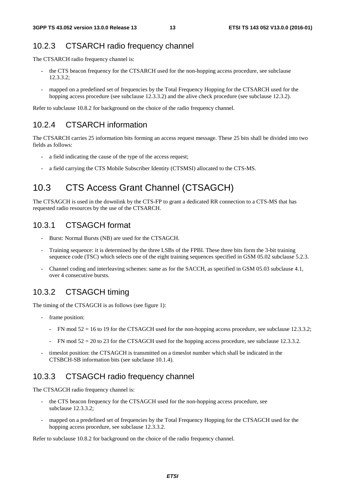### 10.2.3 CTSARCH radio frequency channel

The CTSARCH radio frequency channel is:

- the CTS beacon frequency for the CTSARCH used for the non-hopping access procedure, see subclause 12.3.3.2;
- mapped on a predefined set of frequencies by the Total Frequency Hopping for the CTSARCH used for the hopping access procedure (see subclause 12.3.3.2) and the alive check procedure (see subclause 12.3.2).

Refer to subclause 10.8.2 for background on the choice of the radio frequency channel.

### 10.2.4 CTSARCH information

The CTSARCH carries 25 information bits forming an access request message. These 25 bits shall be divided into two fields as follows:

- a field indicating the cause of the type of the access request;
- a field carrying the CTS Mobile Subscriber Identity (CTSMSI) allocated to the CTS-MS.

## 10.3 CTS Access Grant Channel (CTSAGCH)

The CTSAGCH is used in the downlink by the CTS-FP to grant a dedicated RR connection to a CTS-MS that has requested radio resources by the use of the CTSARCH.

#### 10.3.1 CTSAGCH format

- Burst: Normal Bursts (NB) are used for the CTSAGCH.
- Training sequence: it is determined by the three LSBs of the FPBI. These three bits form the 3-bit training sequence code (TSC) which selects one of the eight training sequences specified in GSM 05.02 subclause 5.2.3.
- Channel coding and interleaving schemes: same as for the SACCH, as specified in GSM 05.03 subclause 4.1, over 4 consecutive bursts.

### 10.3.2 CTSAGCH timing

The timing of the CTSAGCH is as follows (see figure 1):

- frame position:
	- FN mod  $52 = 16$  to 19 for the CTSAGCH used for the non-hopping access procedure, see subclause 12.3.3.2;
	- FN mod  $52 = 20$  to 23 for the CTSAGCH used for the hopping access procedure, see subclause 12.3.3.2.
- timeslot position: the CTSAGCH is transmitted on a timeslot number which shall be indicated in the CTSBCH-SB information bits (see subclause 10.1.4).

#### 10.3.3 CTSAGCH radio frequency channel

The CTSAGCH radio frequency channel is:

- the CTS beacon frequency for the CTSAGCH used for the non-hopping access procedure, see subclause 12.3.3.2;
- mapped on a predefined set of frequencies by the Total Frequency Hopping for the CTSAGCH used for the hopping access procedure, see subclause 12.3.3.2.

Refer to subclause 10.8.2 for background on the choice of the radio frequency channel.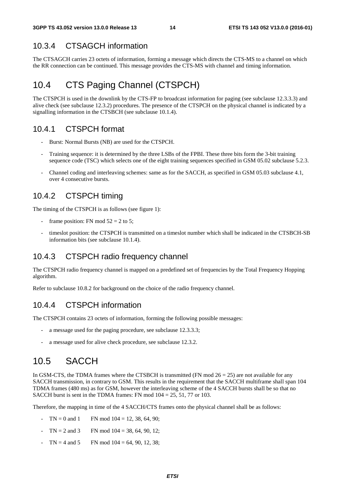#### 10.3.4 CTSAGCH information

The CTSAGCH carries 23 octets of information, forming a message which directs the CTS-MS to a channel on which the RR connection can be continued. This message provides the CTS-MS with channel and timing information.

### 10.4 CTS Paging Channel (CTSPCH)

The CTSPCH is used in the downlink by the CTS-FP to broadcast information for paging (see subclause 12.3.3.3) and alive check (see subclause 12.3.2) procedures. The presence of the CTSPCH on the physical channel is indicated by a signalling information in the CTSBCH (see subclause 10.1.4).

#### 10.4.1 CTSPCH format

- Burst: Normal Bursts (NB) are used for the CTSPCH.
- Training sequence: it is determined by the three LSBs of the FPBI. These three bits form the 3-bit training sequence code (TSC) which selects one of the eight training sequences specified in GSM 05.02 subclause 5.2.3.
- Channel coding and interleaving schemes: same as for the SACCH, as specified in GSM 05.03 subclause 4.1, over 4 consecutive bursts.

#### 10.4.2 CTSPCH timing

The timing of the CTSPCH is as follows (see figure 1):

- frame position: FN mod  $52 = 2$  to 5;
- timeslot position: the CTSPCH is transmitted on a timeslot number which shall be indicated in the CTSBCH-SB information bits (see subclause 10.1.4).

#### 10.4.3 CTSPCH radio frequency channel

The CTSPCH radio frequency channel is mapped on a predefined set of frequencies by the Total Frequency Hopping algorithm.

Refer to subclause 10.8.2 for background on the choice of the radio frequency channel.

#### 10.4.4 CTSPCH information

The CTSPCH contains 23 octets of information, forming the following possible messages:

- a message used for the paging procedure, see subclause 12.3.3.3;
- a message used for alive check procedure, see subclause 12.3.2.

### 10.5 SACCH

In GSM-CTS, the TDMA frames where the CTSBCH is transmitted (FN mod  $26 = 25$ ) are not available for any SACCH transmission, in contrary to GSM. This results in the requirement that the SACCH multiframe shall span 104 TDMA frames (480 ms) as for GSM, however the interleaving scheme of the 4 SACCH bursts shall be so that no SACCH burst is sent in the TDMA frames: FN mod  $104 = 25, 51, 77$  or 103.

Therefore, the mapping in time of the 4 SACCH/CTS frames onto the physical channel shall be as follows:

- $TN = 0$  and 1 FN mod  $104 = 12, 38, 64, 90$ ;
- $TN = 2$  and 3 FN mod  $104 = 38, 64, 90, 12$ ;
- $TN = 4$  and  $5$  FN mod  $104 = 64, 90, 12, 38$ ;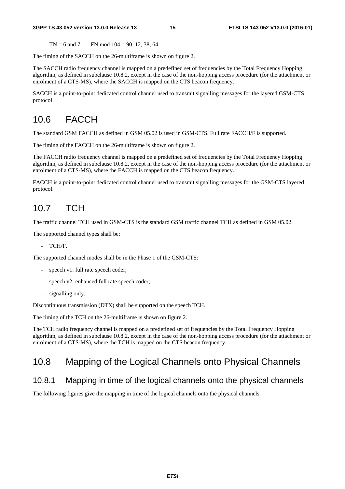#### **3GPP TS 43.052 version 13.0.0 Release 13 15 ETSI TS 143 052 V13.0.0 (2016-01)**

 $TN = 6$  and  $7$  FN mod  $104 = 90, 12, 38, 64$ .

The timing of the SACCH on the 26-multiframe is shown on figure 2.

The SACCH radio frequency channel is mapped on a predefined set of frequencies by the Total Frequency Hopping algorithm, as defined in subclause 10.8.2, except in the case of the non-hopping access procedure (for the attachment or enrolment of a CTS-MS), where the SACCH is mapped on the CTS beacon frequency.

SACCH is a point-to-point dedicated control channel used to transmit signalling messages for the layered GSM-CTS protocol.

## 10.6 FACCH

The standard GSM FACCH as defined in GSM 05.02 is used in GSM-CTS. Full rate FACCH/F is supported.

The timing of the FACCH on the 26-multiframe is shown on figure 2.

The FACCH radio frequency channel is mapped on a predefined set of frequencies by the Total Frequency Hopping algorithm, as defined in subclause 10.8.2, except in the case of the non-hopping access procedure (for the attachment or enrolment of a CTS-MS), where the FACCH is mapped on the CTS beacon frequency.

FACCH is a point-to-point dedicated control channel used to transmit signalling messages for the GSM-CTS layered protocol.

### 10.7 TCH

The traffic channel TCH used in GSM-CTS is the standard GSM traffic channel TCH as defined in GSM 05.02.

The supported channel types shall be:

- TCH/F.

The supported channel modes shall be in the Phase 1 of the GSM-CTS:

- speech v1: full rate speech coder;
- speech v2: enhanced full rate speech coder;
- signalling only.

Discontinuous transmission (DTX) shall be supported on the speech TCH.

The timing of the TCH on the 26-multiframe is shown on figure 2.

The TCH radio frequency channel is mapped on a predefined set of frequencies by the Total Frequency Hopping algorithm, as defined in subclause 10.8.2, except in the case of the non-hopping access procedure (for the attachment or enrolment of a CTS-MS), where the TCH is mapped on the CTS beacon frequency.

### 10.8 Mapping of the Logical Channels onto Physical Channels

#### 10.8.1 Mapping in time of the logical channels onto the physical channels

The following figures give the mapping in time of the logical channels onto the physical channels.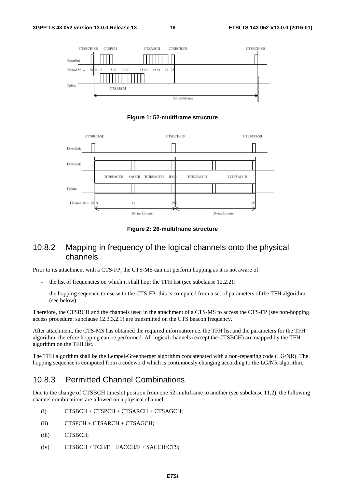

**Figure 1: 52-multiframe structure** 



**Figure 2: 26-multiframe structure** 

#### 10.8.2 Mapping in frequency of the logical channels onto the physical channels

Prior to its attachment with a CTS-FP, the CTS-MS can not perform hopping as it is not aware of:

- the list of frequencies on which it shall hop: the TFH list (see subclause 12.2.2);
- the hopping sequence to use with the CTS-FP: this is computed from a set of parameters of the TFH algorithm (see below).

Therefore, the CTSBCH and the channels used in the attachment of a CTS-MS to access the CTS-FP (see non-hopping access procedure: subclause 12.3.3.2.1) are transmitted on the CTS beacon frequency.

After attachment, the CTS-MS has obtained the required information i.e. the TFH list and the parameters for the TFH algorithm, therefore hopping can be performed. All logical channels (except the CTSBCH) are mapped by the TFH algorithm on the TFH list.

The TFH algorithm shall be the Lempel-Greenberger algorithm concatenated with a non-repeating code (LG/NR). The hopping sequence is computed from a codeword which is continuously changing according to the LG/NR algorithm.

#### 10.8.3 Permitted Channel Combinations

Due to the change of CTSBCH timeslot position from one 52-multiframe to another (see subclause 11.2), the following channel combinations are allowed on a physical channel:

- (i) CTSBCH + CTSPCH + CTSARCH + CTSAGCH;
- (ii) CTSPCH + CTSARCH + CTSAGCH;
- (iii) CTSBCH;
- $(iv)$  CTSBCH + TCH/F + FACCH/F + SACCH/CTS;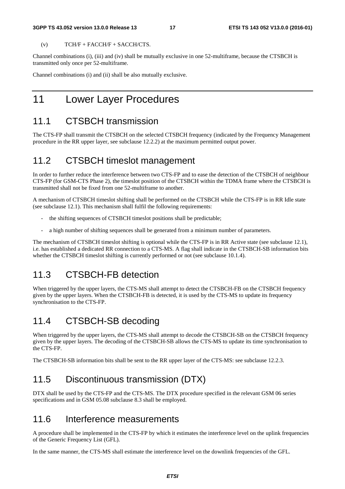#### **3GPP TS 43.052 version 13.0.0 Release 13 17 ETSI TS 143 052 V13.0.0 (2016-01)**

 $(V)$  TCH/F + FACCH/F + SACCH/CTS.

Channel combinations (i), (iii) and (iv) shall be mutually exclusive in one 52-multiframe, because the CTSBCH is transmitted only once per 52-multiframe.

Channel combinations (i) and (ii) shall be also mutually exclusive.

### 11 Lower Layer Procedures

### 11.1 CTSBCH transmission

The CTS-FP shall transmit the CTSBCH on the selected CTSBCH frequency (indicated by the Frequency Management procedure in the RR upper layer, see subclause 12.2.2) at the maximum permitted output power.

### 11.2 CTSBCH timeslot management

In order to further reduce the interference between two CTS-FP and to ease the detection of the CTSBCH of neighbour CTS-FP (for GSM-CTS Phase 2), the timeslot position of the CTSBCH within the TDMA frame where the CTSBCH is transmitted shall not be fixed from one 52-multiframe to another.

A mechanism of CTSBCH timeslot shifting shall be performed on the CTSBCH while the CTS-FP is in RR Idle state (see subclause 12.1). This mechanism shall fulfil the following requirements:

- the shifting sequences of CTSBCH timeslot positions shall be predictable;
- a high number of shifting sequences shall be generated from a minimum number of parameters.

The mechanism of CTSBCH timeslot shifting is optional while the CTS-FP is in RR Active state (see subclause 12.1), i.e. has established a dedicated RR connection to a CTS-MS. A flag shall indicate in the CTSBCH-SB information bits whether the CTSBCH timeslot shifting is currently performed or not (see subclause 10.1.4).

### 11.3 CTSBCH-FB detection

When triggered by the upper layers, the CTS-MS shall attempt to detect the CTSBCH-FB on the CTSBCH frequency given by the upper layers. When the CTSBCH-FB is detected, it is used by the CTS-MS to update its frequency synchronisation to the CTS-FP.

### 11.4 CTSBCH-SB decoding

When triggered by the upper layers, the CTS-MS shall attempt to decode the CTSBCH-SB on the CTSBCH frequency given by the upper layers. The decoding of the CTSBCH-SB allows the CTS-MS to update its time synchronisation to the CTS-FP.

The CTSBCH-SB information bits shall be sent to the RR upper layer of the CTS-MS: see subclause 12.2.3.

### 11.5 Discontinuous transmission (DTX)

DTX shall be used by the CTS-FP and the CTS-MS. The DTX procedure specified in the relevant GSM 06 series specifications and in GSM 05.08 subclause 8.3 shall be employed.

#### 11.6 Interference measurements

A procedure shall be implemented in the CTS-FP by which it estimates the interference level on the uplink frequencies of the Generic Frequency List (GFL).

In the same manner, the CTS-MS shall estimate the interference level on the downlink frequencies of the GFL.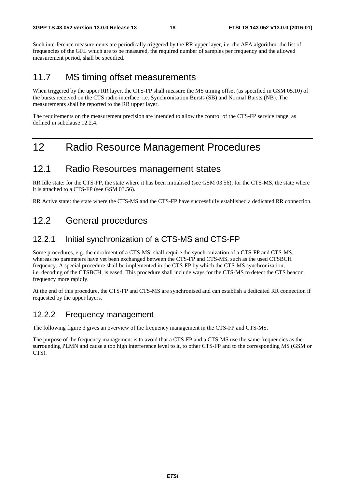Such interference measurements are periodically triggered by the RR upper layer, i.e. the AFA algorithm: the list of frequencies of the GFL which are to be measured, the required number of samples per frequency and the allowed measurement period, shall be specified.

### 11.7 MS timing offset measurements

When triggered by the upper RR layer, the CTS-FP shall measure the MS timing offset (as specified in GSM 05.10) of the bursts received on the CTS radio interface, i.e. Synchronisation Bursts (SB) and Normal Bursts (NB). The measurements shall be reported to the RR upper layer.

The requirements on the measurement precision are intended to allow the control of the CTS-FP service range, as defined in subclause 12.2.4.

## 12 Radio Resource Management Procedures

#### 12.1 Radio Resources management states

RR Idle state: for the CTS-FP, the state where it has been initialised (see GSM 03.56); for the CTS-MS, the state where it is attached to a CTS-FP (see GSM 03.56).

RR Active state: the state where the CTS-MS and the CTS-FP have successfully established a dedicated RR connection.

### 12.2 General procedures

#### 12.2.1 Initial synchronization of a CTS-MS and CTS-FP

Some procedures, e.g. the enrolment of a CTS-MS, shall require the synchronization of a CTS-FP and CTS-MS, whereas no parameters have yet been exchanged between the CTS-FP and CTS-MS, such as the used CTSBCH frequency. A special procedure shall be implemented in the CTS-FP by which the CTS-MS synchronization, i.e. decoding of the CTSBCH, is eased. This procedure shall include ways for the CTS-MS to detect the CTS beacon frequency more rapidly.

At the end of this procedure, the CTS-FP and CTS-MS are synchronised and can establish a dedicated RR connection if requested by the upper layers.

#### 12.2.2 Frequency management

The following figure 3 gives an overview of the frequency management in the CTS-FP and CTS-MS.

The purpose of the frequency management is to avoid that a CTS-FP and a CTS-MS use the same frequencies as the surrounding PLMN and cause a too high interference level to it, to other CTS-FP and to the corresponding MS (GSM or CTS).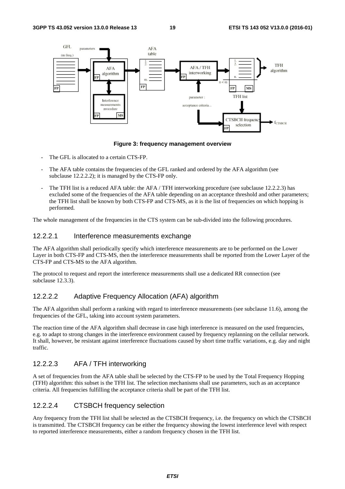

**Figure 3: frequency management overview** 

- The GFL is allocated to a certain CTS-FP.
- The AFA table contains the frequencies of the GFL ranked and ordered by the AFA algorithm (see subclause 12.2.2.2); it is managed by the CTS-FP only.
- The TFH list is a reduced AFA table: the AFA / TFH interworking procedure (see subclause 12.2.2.3) has excluded some of the frequencies of the AFA table depending on an acceptance threshold and other parameters; the TFH list shall be known by both CTS-FP and CTS-MS, as it is the list of frequencies on which hopping is performed.

The whole management of the frequencies in the CTS system can be sub-divided into the following procedures.

#### 12.2.2.1 Interference measurements exchange

The AFA algorithm shall periodically specify which interference measurements are to be performed on the Lower Layer in both CTS-FP and CTS-MS, then the interference measurements shall be reported from the Lower Layer of the CTS-FP and CTS-MS to the AFA algorithm.

The protocol to request and report the interference measurements shall use a dedicated RR connection (see subclause 12.3.3).

#### 12.2.2.2 Adaptive Frequency Allocation (AFA) algorithm

The AFA algorithm shall perform a ranking with regard to interference measurements (see subclause 11.6), among the frequencies of the GFL, taking into account system parameters.

The reaction time of the AFA algorithm shall decrease in case high interference is measured on the used frequencies, e.g. to adapt to strong changes in the interference environment caused by frequency replanning on the cellular network. It shall, however, be resistant against interference fluctuations caused by short time traffic variations, e.g. day and night traffic.

#### 12.2.2.3 AFA / TFH interworking

A set of frequencies from the AFA table shall be selected by the CTS-FP to be used by the Total Frequency Hopping (TFH) algorithm: this subset is the TFH list. The selection mechanisms shall use parameters, such as an acceptance criteria. All frequencies fulfilling the acceptance criteria shall be part of the TFH list.

#### 12.2.2.4 CTSBCH frequency selection

Any frequency from the TFH list shall be selected as the CTSBCH frequency, i.e. the frequency on which the CTSBCH is transmitted. The CTSBCH frequency can be either the frequency showing the lowest interference level with respect to reported interference measurements, either a random frequency chosen in the TFH list.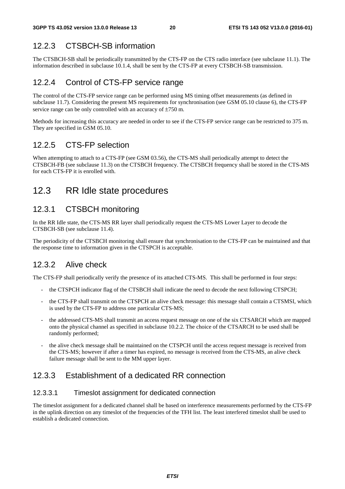#### 12.2.3 CTSBCH-SB information

The CTSBCH-SB shall be periodically transmitted by the CTS-FP on the CTS radio interface (see subclause 11.1). The information described in subclause 10.1.4, shall be sent by the CTS-FP at every CTSBCH-SB transmission.

#### 12.2.4 Control of CTS-FP service range

The control of the CTS-FP service range can be performed using MS timing offset measurements (as defined in subclause 11.7). Considering the present MS requirements for synchronisation (see GSM 05.10 clause 6), the CTS-FP service range can be only controlled with an accuracy of ±750 m.

Methods for increasing this accuracy are needed in order to see if the CTS-FP service range can be restricted to 375 m. They are specified in GSM 05.10.

#### 12.2.5 CTS-FP selection

When attempting to attach to a CTS-FP (see GSM 03.56), the CTS-MS shall periodically attempt to detect the CTSBCH-FB (see subclause 11.3) on the CTSBCH frequency. The CTSBCH frequency shall be stored in the CTS-MS for each CTS-FP it is enrolled with.

### 12.3 RR Idle state procedures

#### 12.3.1 CTSBCH monitoring

In the RR Idle state, the CTS-MS RR layer shall periodically request the CTS-MS Lower Layer to decode the CTSBCH-SB (see subclause 11.4).

The periodicity of the CTSBCH monitoring shall ensure that synchronisation to the CTS-FP can be maintained and that the response time to information given in the CTSPCH is acceptable.

#### 12.3.2 Alive check

The CTS-FP shall periodically verify the presence of its attached CTS-MS. This shall be performed in four steps:

- the CTSPCH indicator flag of the CTSBCH shall indicate the need to decode the next following CTSPCH;
- the CTS-FP shall transmit on the CTSPCH an alive check message: this message shall contain a CTSMSI, which is used by the CTS-FP to address one particular CTS-MS;
- the addressed CTS-MS shall transmit an access request message on one of the six CTSARCH which are mapped onto the physical channel as specified in subclause 10.2.2. The choice of the CTSARCH to be used shall be randomly performed;
- the alive check message shall be maintained on the CTSPCH until the access request message is received from the CTS-MS; however if after a timer has expired, no message is received from the CTS-MS, an alive check failure message shall be sent to the MM upper layer.

#### 12.3.3 Establishment of a dedicated RR connection

#### 12.3.3.1 Timeslot assignment for dedicated connection

The timeslot assignment for a dedicated channel shall be based on interference measurements performed by the CTS-FP in the uplink direction on any timeslot of the frequencies of the TFH list. The least interfered timeslot shall be used to establish a dedicated connection.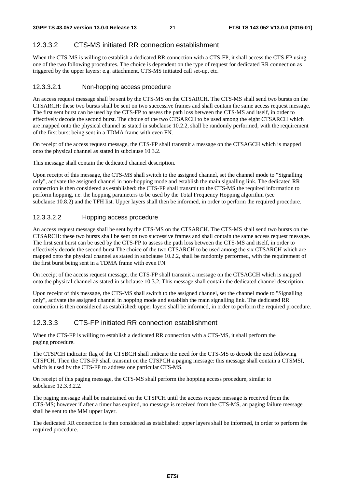#### 12.3.3.2 CTS-MS initiated RR connection establishment

When the CTS-MS is willing to establish a dedicated RR connection with a CTS-FP, it shall access the CTS-FP using one of the two following procedures. The choice is dependent on the type of request for dedicated RR connection as triggered by the upper layers: e.g. attachment, CTS-MS initiated call set-up, etc.

#### 12.3.3.2.1 Non-hopping access procedure

An access request message shall be sent by the CTS-MS on the CTSARCH. The CTS-MS shall send two bursts on the CTSARCH: these two bursts shall be sent on two successive frames and shall contain the same access request message. The first sent burst can be used by the CTS-FP to assess the path loss between the CTS-MS and itself, in order to effectively decode the second burst. The choice of the two CTSARCH to be used among the eight CTSARCH which are mapped onto the physical channel as stated in subclause 10.2.2, shall be randomly performed, with the requirement of the first burst being sent in a TDMA frame with even FN.

On receipt of the access request message, the CTS-FP shall transmit a message on the CTSAGCH which is mapped onto the physical channel as stated in subclause 10.3.2.

This message shall contain the dedicated channel description.

Upon receipt of this message, the CTS-MS shall switch to the assigned channel, set the channel mode to "Signalling only", activate the assigned channel in non-hopping mode and establish the main signalling link. The dedicated RR connection is then considered as established: the CTS-FP shall transmit to the CTS-MS the required information to perform hopping, i.e. the hopping parameters to be used by the Total Frequency Hopping algorithm (see subclause 10.8.2) and the TFH list. Upper layers shall then be informed, in order to perform the required procedure.

#### 12.3.3.2.2 Hopping access procedure

An access request message shall be sent by the CTS-MS on the CTSARCH. The CTS-MS shall send two bursts on the CTSARCH: these two bursts shall be sent on two successive frames and shall contain the same access request message. The first sent burst can be used by the CTS-FP to assess the path loss between the CTS-MS and itself, in order to effectively decode the second burst The choice of the two CTSARCH to be used among the six CTSARCH which are mapped onto the physical channel as stated in subclause 10.2.2, shall be randomly performed, with the requirement of the first burst being sent in a TDMA frame with even FN.

On receipt of the access request message, the CTS-FP shall transmit a message on the CTSAGCH which is mapped onto the physical channel as stated in subclause 10.3.2. This message shall contain the dedicated channel description.

Upon receipt of this message, the CTS-MS shall switch to the assigned channel, set the channel mode to "Signalling only", activate the assigned channel in hopping mode and establish the main signalling link. The dedicated RR connection is then considered as established: upper layers shall be informed, in order to perform the required procedure.

#### 12.3.3.3 CTS-FP initiated RR connection establishment

When the CTS-FP is willing to establish a dedicated RR connection with a CTS-MS, it shall perform the paging procedure.

The CTSPCH indicator flag of the CTSBCH shall indicate the need for the CTS-MS to decode the next following CTSPCH. Then the CTS-FP shall transmit on the CTSPCH a paging message: this message shall contain a CTSMSI, which is used by the CTS-FP to address one particular CTS-MS.

On receipt of this paging message, the CTS-MS shall perform the hopping access procedure, similar to subclause 12.3.3.2.2.

The paging message shall be maintained on the CTSPCH until the access request message is received from the CTS-MS; however if after a timer has expired, no message is received from the CTS-MS, an paging failure message shall be sent to the MM upper layer.

The dedicated RR connection is then considered as established: upper layers shall be informed, in order to perform the required procedure.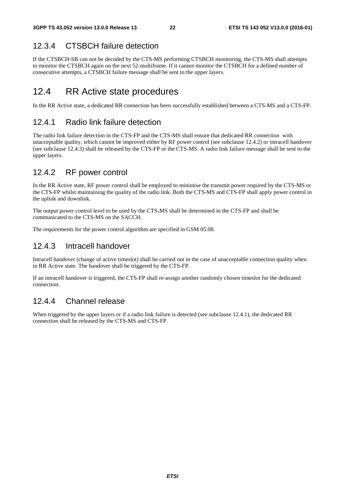#### 12.3.4 CTSBCH failure detection

If the CTSBCH-SB can not be decoded by the CTS-MS performing CTSBCH monitoring, the CTS-MS shall attempts to monitor the CTSBCH again on the next 52-multiframe. If it cannot monitor the CTSBCH for a defined number of consecutive attempts, a CTSBCH failure message shall be sent to the upper layers.

### 12.4 RR Active state procedures

In the RR Active state, a dedicated RR connection has been successfully established between a CTS-MS and a CTS-FP.

#### 12.4.1 Radio link failure detection

The radio link failure detection in the CTS-FP and the CTS-MS shall ensure that dedicated RR connection with unacceptable quality, which cannot be improved either by RF power control (see subclause 12.4.2) or intracell handover (see subclause 12.4.3) shall be released by the CTS-FP or the CTS-MS. A radio link failure message shall be sent to the upper layers.

#### 12.4.2 RF power control

In the RR Active state, RF power control shall be employed to minimise the transmit power required by the CTS-MS or the CTS-FP whilst maintaining the quality of the radio link. Both the CTS-MS and CTS-FP shall apply power control in the uplink and downlink.

The output power control level to be used by the CTS-MS shall be determined in the CTS-FP and shall be communicated to the CTS-MS on the SACCH.

The requirements for the power control algorithm are specified in GSM 05.08.

#### 12.4.3 Intracell handover

Intracell handover (change of active timeslot) shall be carried out in the case of unacceptable connection quality when in RR Active state. The handover shall be triggered by the CTS-FP.

If an intracell handover is triggered, the CTS-FP shall re-assign another randomly chosen timeslot for the dedicated connection.

#### 12.4.4 Channel release

When triggered by the upper layers or if a radio link failure is detected (see subclause 12.4.1), the dedicated RR connection shall be released by the CTS-MS and CTS-FP.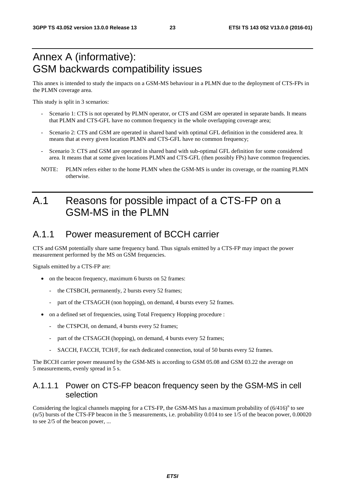## Annex A (informative): GSM backwards compatibility issues

This annex is intended to study the impacts on a GSM-MS behaviour in a PLMN due to the deployment of CTS-FPs in the PLMN coverage area.

This study is split in 3 scenarios:

- Scenario 1: CTS is not operated by PLMN operator, or CTS and GSM are operated in separate bands. It means that PLMN and CTS-GFL have no common frequency in the whole overlapping coverage area;
- Scenario 2: CTS and GSM are operated in shared band with optimal GFL definition in the considered area. It means that at every given location PLMN and CTS-GFL have no common frequency;
- Scenario 3: CTS and GSM are operated in shared band with sub-optimal GFL definition for some considered area. It means that at some given locations PLMN and CTS-GFL (then possibly FPs) have common frequencies.
- NOTE: PLMN refers either to the home PLMN when the GSM-MS is under its coverage, or the roaming PLMN otherwise.

## A.1 Reasons for possible impact of a CTS-FP on a GSM-MS in the PLMN

#### A.1.1 Power measurement of BCCH carrier

CTS and GSM potentially share same frequency band. Thus signals emitted by a CTS-FP may impact the power measurement performed by the MS on GSM frequencies.

Signals emitted by a CTS-FP are:

- on the beacon frequency, maximum 6 bursts on 52 frames:
	- the CTSBCH, permanently, 2 bursts every 52 frames;
	- part of the CTSAGCH (non hopping), on demand, 4 bursts every 52 frames.
- on a defined set of frequencies, using Total Frequency Hopping procedure :
	- the CTSPCH, on demand, 4 bursts every 52 frames;
	- part of the CTSAGCH (hopping), on demand, 4 bursts every 52 frames;
	- SACCH, FACCH, TCH/F, for each dedicated connection, total of 50 bursts every 52 frames.

The BCCH carrier power measured by the GSM-MS is according to GSM 05.08 and GSM 03.22 the average on 5 measurements, evenly spread in 5 s.

#### A.1.1.1 Power on CTS-FP beacon frequency seen by the GSM-MS in cell selection

Considering the logical channels mapping for a CTS-FP, the GSM-MS has a maximum probability of  $(6/416)^n$  to see (n/5) bursts of the CTS-FP beacon in the 5 measurements, i.e. probability 0.014 to see 1/5 of the beacon power, 0.00020 to see 2/5 of the beacon power, ...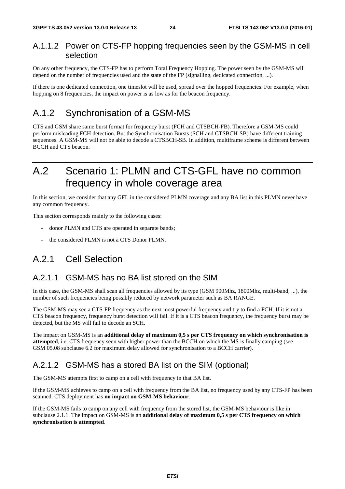#### A.1.1.2 Power on CTS-FP hopping frequencies seen by the GSM-MS in cell selection

On any other frequency, the CTS-FP has to perform Total Frequency Hopping. The power seen by the GSM-MS will depend on the number of frequencies used and the state of the FP (signalling, dedicated connection, ...).

If there is one dedicated connection, one timeslot will be used, spread over the hopped frequencies. For example, when hopping on 8 frequencies, the impact on power is as low as for the beacon frequency.

### A.1.2 Synchronisation of a GSM-MS

CTS and GSM share same burst format for frequency burst (FCH and CTSBCH-FB). Therefore a GSM-MS could perform misleading FCH detection. But the Synchronisation Bursts (SCH and CTSBCH-SB) have different training sequences. A GSM-MS will not be able to decode a CTSBCH-SB. In addition, multiframe scheme is different between BCCH and CTS beacon.

## A.2 Scenario 1: PLMN and CTS-GFL have no common frequency in whole coverage area

In this section, we consider that any GFL in the considered PLMN coverage and any BA list in this PLMN never have any common frequency.

This section corresponds mainly to the following cases:

- donor PLMN and CTS are operated in separate bands;
- the considered PLMN is not a CTS Donor PLMN.

### A.2.1 Cell Selection

#### A.2.1.1 GSM-MS has no BA list stored on the SIM

In this case, the GSM-MS shall scan all frequencies allowed by its type (GSM 900Mhz, 1800Mhz, multi-band, ...), the number of such frequencies being possibly reduced by network parameter such as BA RANGE.

The GSM-MS may see a CTS-FP frequency as the next most powerful frequency and try to find a FCH. If it is not a CTS beacon frequency, frequency burst detection will fail. If it is a CTS beacon frequency, the frequency burst may be detected, but the MS will fail to decode an SCH.

The impact on GSM-MS is an **additional delay of maximum 0,5 s per CTS frequency on which synchronisation is attempted**, i.e. CTS frequency seen with higher power than the BCCH on which the MS is finally camping (see GSM 05.08 subclause 6.2 for maximum delay allowed for synchronisation to a BCCH carrier).

#### A.2.1.2 GSM-MS has a stored BA list on the SIM (optional)

The GSM-MS attempts first to camp on a cell with frequency in that BA list.

If the GSM-MS achieves to camp on a cell with frequency from the BA list, no frequency used by any CTS-FP has been scanned. CTS deployment has **no impact on GSM-MS behaviour**.

If the GSM-MS fails to camp on any cell with frequency from the stored list, the GSM-MS behaviour is like in subclause 2.1.1. The impact on GSM-MS is an **additional delay of maximum 0,5 s per CTS frequency on which synchronisation is attempted**.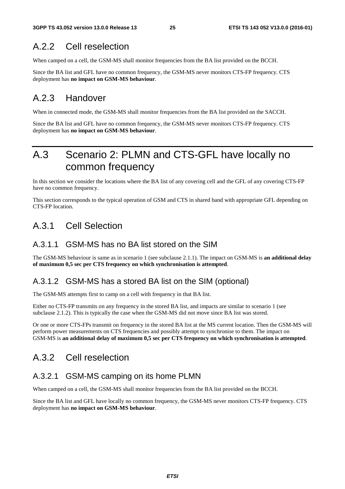### A.2.2 Cell reselection

When camped on a cell, the GSM-MS shall monitor frequencies from the BA list provided on the BCCH.

Since the BA list and GFL have no common frequency, the GSM-MS never monitors CTS-FP frequency. CTS deployment has **no impact on GSM-MS behaviour**.

### A.2.3 Handover

When in connected mode, the GSM-MS shall monitor frequencies from the BA list provided on the SACCH.

Since the BA list and GFL have no common frequency, the GSM-MS never monitors CTS-FP frequency. CTS deployment has **no impact on GSM-MS behaviour**.

## A.3 Scenario 2: PLMN and CTS-GFL have locally no common frequency

In this section we consider the locations where the BA list of any covering cell and the GFL of any covering CTS-FP have no common frequency.

This section corresponds to the typical operation of GSM and CTS in shared band with appropriate GFL depending on CTS-FP location.

### A.3.1 Cell Selection

#### A.3.1.1 GSM-MS has no BA list stored on the SIM

The GSM-MS behaviour is same as in scenario 1 (see subclause 2.1.1). The impact on GSM-MS is **an additional delay of maximum 0,5 sec per CTS frequency on which synchronisation is attempted**.

#### A.3.1.2 GSM-MS has a stored BA list on the SIM (optional)

The GSM-MS attempts first to camp on a cell with frequency in that BA list.

Either no CTS-FP transmits on any frequency in the stored BA list, and impacts are similar to scenario 1 (see subclause 2.1.2). This is typically the case when the GSM-MS did not move since BA list was stored.

Or one or more CTS-FPs transmit on frequency in the stored BA list at the MS current location. Then the GSM-MS will perform power measurements on CTS frequencies and possibly attempt to synchronise to them. The impact on GSM-MS is **an additional delay of maximum 0,5 sec per CTS frequency on which synchronisation is attempted**.

### A.3.2 Cell reselection

#### A.3.2.1 GSM-MS camping on its home PLMN

When camped on a cell, the GSM-MS shall monitor frequencies from the BA list provided on the BCCH.

Since the BA list and GFL have locally no common frequency, the GSM-MS never monitors CTS-FP frequency. CTS deployment has **no impact on GSM-MS behaviour**.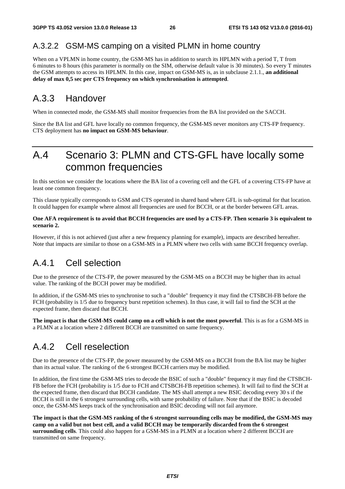#### A.3.2.2 GSM-MS camping on a visited PLMN in home country

When on a VPLMN in home country, the GSM-MS has in addition to search its HPLMN with a period T, T from 6 minutes to 8 hours (this parameter is normally on the SIM, otherwise default value is 30 minutes). So every T minutes the GSM attempts to access its HPLMN. In this case, impact on GSM-MS is, as in subclause 2.1.1., **an additional delay of max 0,5 sec per CTS frequency on which synchronisation is attempted**.

### A.3.3 Handover

When in connected mode, the GSM-MS shall monitor frequencies from the BA list provided on the SACCH.

Since the BA list and GFL have locally no common frequency, the GSM-MS never monitors any CTS-FP frequency. CTS deployment has **no impact on GSM-MS behaviour**.

## A.4 Scenario 3: PLMN and CTS-GFL have locally some common frequencies

In this section we consider the locations where the BA list of a covering cell and the GFL of a covering CTS-FP have at least one common frequency.

This clause typically corresponds to GSM and CTS operated in shared band where GFL is sub-optimal for that location. It could happen for example where almost all frequencies are used for BCCH, or at the border between GFL areas.

#### **One AFA requirement is to avoid that BCCH frequencies are used by a CTS-FP. Then scenario 3 is equivalent to scenario 2.**

However, if this is not achieved (just after a new frequency planning for example), impacts are described hereafter. Note that impacts are similar to those on a GSM-MS in a PLMN where two cells with same BCCH frequency overlap.

### A.4.1 Cell selection

Due to the presence of the CTS-FP, the power measured by the GSM-MS on a BCCH may be higher than its actual value. The ranking of the BCCH power may be modified.

In addition, if the GSM-MS tries to synchronise to such a "double" frequency it may find the CTSBCH-FB before the FCH (probability is 1/5 due to frequency burst repetition schemes). In thus case, it will fail to find the SCH at the expected frame, then discard that BCCH.

**The impact is that the GSM-MS could camp on a cell which is not the most powerful**. This is as for a GSM-MS in a PLMN at a location where 2 different BCCH are transmitted on same frequency.

### A.4.2 Cell reselection

Due to the presence of the CTS-FP, the power measured by the GSM-MS on a BCCH from the BA list may be higher than its actual value. The ranking of the 6 strongest BCCH carriers may be modified.

In addition, the first time the GSM-MS tries to decode the BSIC of such a "double" frequency it may find the CTSBCH-FB before the FCH (probability is 1/5 due to FCH and CTSBCH-FB repetition schemes). It will fail to find the SCH at the expected frame, then discard that BCCH candidate. The MS shall attempt a new BSIC decoding every 30 s if the BCCH is still in the 6 strongest surrounding cells, with same probability of failure. Note that if the BSIC is decoded once, the GSM-MS keeps track of the synchronisation and BSIC decoding will not fail anymore.

**The impact is that the GSM-MS ranking of the 6 strongest surrounding cells may be modified, the GSM-MS may camp on a valid but not best cell, and a valid BCCH may be temporarily discarded from the 6 strongest surrounding cells**. This could also happen for a GSM-MS in a PLMN at a location where 2 different BCCH are transmitted on same frequency.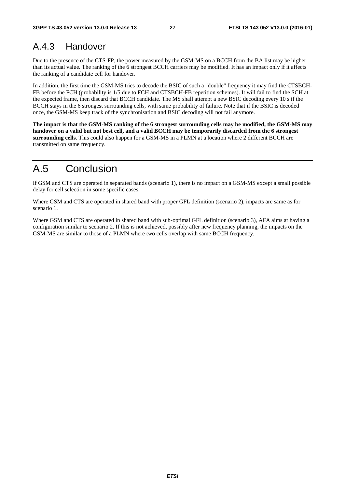### A.4.3 Handover

Due to the presence of the CTS-FP, the power measured by the GSM-MS on a BCCH from the BA list may be higher than its actual value. The ranking of the 6 strongest BCCH carriers may be modified. It has an impact only if it affects the ranking of a candidate cell for handover.

In addition, the first time the GSM-MS tries to decode the BSIC of such a "double" frequency it may find the CTSBCH-FB before the FCH (probability is 1/5 due to FCH and CTSBCH-FB repetition schemes). It will fail to find the SCH at the expected frame, then discard that BCCH candidate. The MS shall attempt a new BSIC decoding every 10 s if the BCCH stays in the 6 strongest surrounding cells, with same probability of failure. Note that if the BSIC is decoded once, the GSM-MS keep track of the synchronisation and BSIC decoding will not fail anymore.

**The impact is that the GSM-MS ranking of the 6 strongest surrounding cells may be modified, the GSM-MS may handover on a valid but not best cell, and a valid BCCH may be temporarily discarded from the 6 strongest surrounding cells**. This could also happen for a GSM-MS in a PLMN at a location where 2 different BCCH are transmitted on same frequency.

### A.5 Conclusion

If GSM and CTS are operated in separated bands (scenario 1), there is no impact on a GSM-MS except a small possible delay for cell selection in some specific cases.

Where GSM and CTS are operated in shared band with proper GFL definition (scenario 2), impacts are same as for scenario 1.

Where GSM and CTS are operated in shared band with sub-optimal GFL definition (scenario 3), AFA aims at having a configuration similar to scenario 2. If this is not achieved, possibly after new frequency planning, the impacts on the GSM-MS are similar to those of a PLMN where two cells overlap with same BCCH frequency.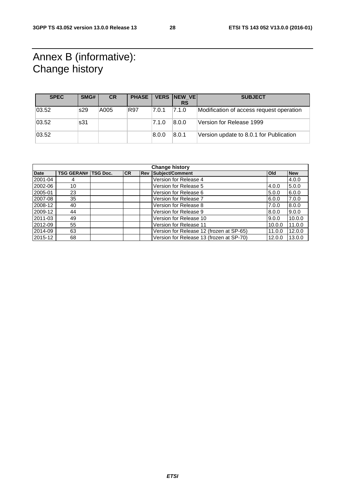## Annex B (informative): Change history

| <b>SPEC</b> | SMG# | <b>CR</b> | <b>PHASE</b> |       | VERS NEW VE | <b>SUBJECT</b>                           |
|-------------|------|-----------|--------------|-------|-------------|------------------------------------------|
|             |      |           |              |       | <b>RS</b>   |                                          |
| 03.52       | s29  | A005      | R97          | 7.0.1 | 7.1.0       | Modification of access request operation |
| 03.52       | s31  |           |              | 7.1.0 | 8.0.0       | Version for Release 1999                 |
| 03.52       |      |           |              | 8.0.0 | 8.0.1       | Version update to 8.0.1 for Publication  |

| <b>Change history</b> |                   |                 |           |            |                                          |            |            |
|-----------------------|-------------------|-----------------|-----------|------------|------------------------------------------|------------|------------|
| <b>Date</b>           | <b>TSG GERAN#</b> | <b>TSG Doc.</b> | <b>CR</b> | <b>Rev</b> | Subject/Comment                          | <b>Old</b> | <b>New</b> |
| 2001-04               | 4                 |                 |           |            | Version for Release 4                    |            | 4.0.0      |
| 2002-06               | 10                |                 |           |            | Version for Release 5                    | 4.0.0      | 5.0.0      |
| 2005-01               | 23                |                 |           |            | Version for Release 6                    | 5.0.0      | 6.0.0      |
| 2007-08               | 35                |                 |           |            | Version for Release 7                    | 6.0.0      | 7.0.0      |
| 2008-12               | 40                |                 |           |            | Version for Release 8                    | 7.0.0      | 8.0.0      |
| 2009-12               | 44                |                 |           |            | Version for Release 9                    | 8.0.0      | 9.0.0      |
| 2011-03               | 49                |                 |           |            | Version for Release 10                   | 9.0.0      | 10.0.0     |
| 2012-09               | 55                |                 |           |            | Version for Release 11                   | 10.0.0     | 11.0.0     |
| 2014-09               | 63                |                 |           |            | Version for Release 12 (frozen at SP-65) | 11.0.0     | 12.0.0     |
| 2015-12               | 68                |                 |           |            | Version for Release 13 (frozen at SP-70) | 12.0.0     | 13.0.0     |